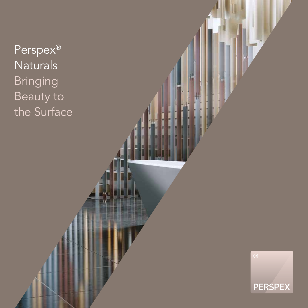Perspex<sup>®</sup> Naturals Bringing Beauty to the Surface

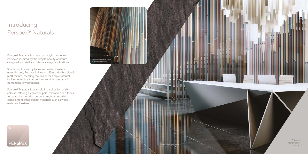## Introducing Perspex ® Naturals

Perspex® Naturals is a new cast acrylic range from Perspex<sup>®</sup> inspired by the simple beauty of nature, designed for retail and interior design applications.

Simulating the earthy tones and velvety texture of natural stone, Perspex® Naturals offers a double-sided matt texture, meeting the desire for simple, natural looking materials that perform to high standards in demanding environments.

Perspex ® Naturals is available in a collection of six colours, offering a choice of pale, mid and deep tones to create harmonising colour combinations, which complement other design materials such as wood, metal and textiles.



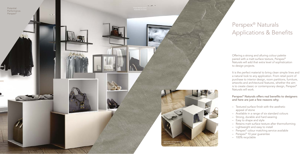## Perspex ® Naturals Applications & Benefits

Offering a strong and alluring colour palette paired with a matt surface texture, Perspex® Naturals will add that extra level of sophistication to design projects.

It is the perfect material to bring clean simple lines and a natural look to any application. From retail point of purchase to interior design, room partitions, furniture, artworks and architectural features, whether the aim is to create classic or contemporary design, Perspex® Naturals will work.



### Perspex ® Naturals offers real benefits to designers and here are just a few reasons why;

- Textured surface finish with the aesthetic appeal of stone
- Available in a range of six standard colours
- Strong, durable and hard wearing
- Easy to shape and style
- Retains matt surface texture after thermoforming
- Lightweight and easy to install
- Perspex® colour matching service available
- Perspex® 10 year guarantee
- 100% recyclable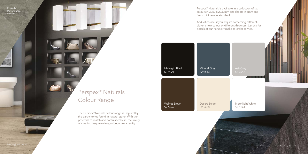Perspex® Naturals is available in a collection of six colours in 3050 x 2030mm size sheets in 3mm and 5mm thickness as standard.

And, of course, if you require something different, either a new colour or different thickness, just ask for details of our Perspex® make-to-order service.

Potential. Performance. Perspex®

> The Perspex® Naturals colour range is inspired by the earthy tones found in natural stone. With the potential to match and contrast colours, the luxury of creating bespoke designs becomes a reality.

Perspex® Naturals Colour Range

# Midnight Black S2 9221 Walnut Brown S2 5269 Mineral Grey S2 9643 Desert Beige S2 5268

### Moonlight White S2 1T41

S2 9642

Desk in Moonlight White and Mineral Grey

Perspex® Naturals used for display wall,

chandelier and desk